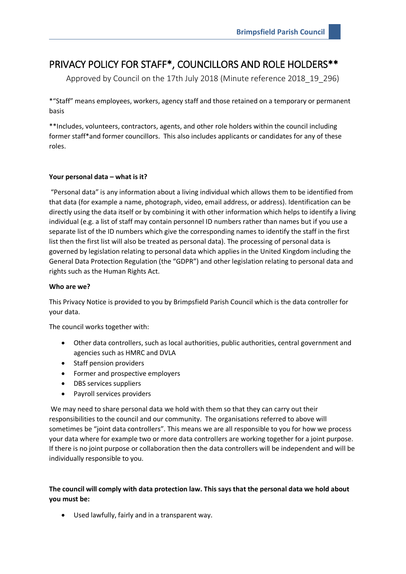# PRIVACY POLICY FOR STAFF\*, COUNCILLORS AND ROLE HOLDERS\*\*

Approved by Council on the 17th July 2018 (Minute reference 2018\_19\_296)

\*"Staff" means employees, workers, agency staff and those retained on a temporary or permanent basis

\*\*Includes, volunteers, contractors, agents, and other role holders within the council including former staff\*and former councillors. This also includes applicants or candidates for any of these roles.

# **Your personal data – what is it?**

"Personal data" is any information about a living individual which allows them to be identified from that data (for example a name, photograph, video, email address, or address). Identification can be directly using the data itself or by combining it with other information which helps to identify a living individual (e.g. a list of staff may contain personnel ID numbers rather than names but if you use a separate list of the ID numbers which give the corresponding names to identify the staff in the first list then the first list will also be treated as personal data). The processing of personal data is governed by legislation relating to personal data which applies in the United Kingdom including the General Data Protection Regulation (the "GDPR") and other legislation relating to personal data and rights such as the Human Rights Act.

# **Who are we?**

This Privacy Notice is provided to you by Brimpsfield Parish Council which is the data controller for your data.

The council works together with:

- Other data controllers, such as local authorities, public authorities, central government and agencies such as HMRC and DVLA
- Staff pension providers
- Former and prospective employers
- DBS services suppliers
- Payroll services providers

We may need to share personal data we hold with them so that they can carry out their responsibilities to the council and our community. The organisations referred to above will sometimes be "joint data controllers". This means we are all responsible to you for how we process your data where for example two or more data controllers are working together for a joint purpose. If there is no joint purpose or collaboration then the data controllers will be independent and will be individually responsible to you.

**The council will comply with data protection law. This says that the personal data we hold about you must be:** 

Used lawfully, fairly and in a transparent way.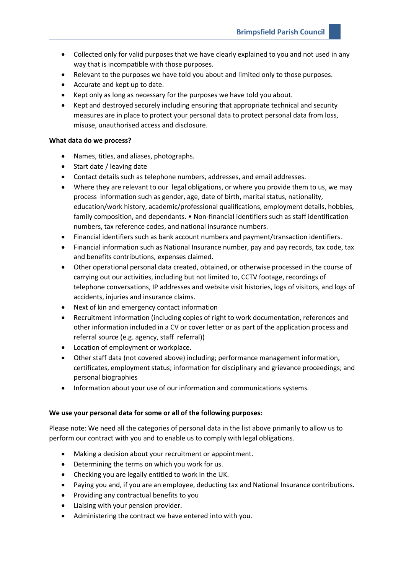- Collected only for valid purposes that we have clearly explained to you and not used in any way that is incompatible with those purposes.
- Relevant to the purposes we have told you about and limited only to those purposes.
- Accurate and kept up to date.
- Kept only as long as necessary for the purposes we have told you about.
- Kept and destroyed securely including ensuring that appropriate technical and security measures are in place to protect your personal data to protect personal data from loss, misuse, unauthorised access and disclosure.

#### **What data do we process?**

- Names, titles, and aliases, photographs.
- Start date / leaving date
- Contact details such as telephone numbers, addresses, and email addresses.
- Where they are relevant to our legal obligations, or where you provide them to us, we may process information such as gender, age, date of birth, marital status, nationality, education/work history, academic/professional qualifications, employment details, hobbies, family composition, and dependants. • Non-financial identifiers such as staff identification numbers, tax reference codes, and national insurance numbers.
- Financial identifiers such as bank account numbers and payment/transaction identifiers.
- Financial information such as National Insurance number, pay and pay records, tax code, tax and benefits contributions, expenses claimed.
- Other operational personal data created, obtained, or otherwise processed in the course of carrying out our activities, including but not limited to, CCTV footage, recordings of telephone conversations, IP addresses and website visit histories, logs of visitors, and logs of accidents, injuries and insurance claims.
- Next of kin and emergency contact information
- Recruitment information (including copies of right to work documentation, references and other information included in a CV or cover letter or as part of the application process and referral source (e.g. agency, staff referral))
- Location of employment or workplace.
- Other staff data (not covered above) including; performance management information, certificates, employment status; information for disciplinary and grievance proceedings; and personal biographies
- Information about your use of our information and communications systems.

## **We use your personal data for some or all of the following purposes:**

Please note: We need all the categories of personal data in the list above primarily to allow us to perform our contract with you and to enable us to comply with legal obligations.

- Making a decision about your recruitment or appointment.
- Determining the terms on which you work for us.
- Checking you are legally entitled to work in the UK.
- Paying you and, if you are an employee, deducting tax and National Insurance contributions.
- Providing any contractual benefits to you
- Liaising with your pension provider.
- Administering the contract we have entered into with you.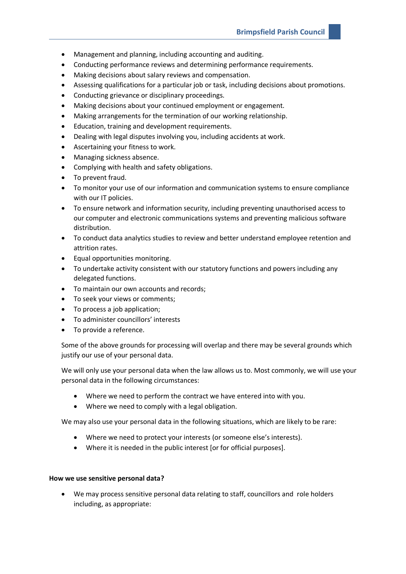- Management and planning, including accounting and auditing.
- Conducting performance reviews and determining performance requirements.
- Making decisions about salary reviews and compensation.
- Assessing qualifications for a particular job or task, including decisions about promotions.
- Conducting grievance or disciplinary proceedings.
- Making decisions about your continued employment or engagement.
- Making arrangements for the termination of our working relationship.
- Education, training and development requirements.
- Dealing with legal disputes involving you, including accidents at work.
- Ascertaining your fitness to work.
- Managing sickness absence.
- Complying with health and safety obligations.
- To prevent fraud.
- To monitor your use of our information and communication systems to ensure compliance with our IT policies.
- To ensure network and information security, including preventing unauthorised access to our computer and electronic communications systems and preventing malicious software distribution.
- To conduct data analytics studies to review and better understand employee retention and attrition rates.
- Equal opportunities monitoring.
- To undertake activity consistent with our statutory functions and powers including any delegated functions.
- To maintain our own accounts and records;
- To seek your views or comments;
- To process a job application;
- To administer councillors' interests
- To provide a reference.

Some of the above grounds for processing will overlap and there may be several grounds which justify our use of your personal data.

We will only use your personal data when the law allows us to. Most commonly, we will use your personal data in the following circumstances:

- Where we need to perform the contract we have entered into with you.
- Where we need to comply with a legal obligation.

We may also use your personal data in the following situations, which are likely to be rare:

- Where we need to protect your interests (or someone else's interests).
- Where it is needed in the public interest [or for official purposes].

## **How we use sensitive personal data?**

• We may process sensitive personal data relating to staff, councillors and role holders including, as appropriate: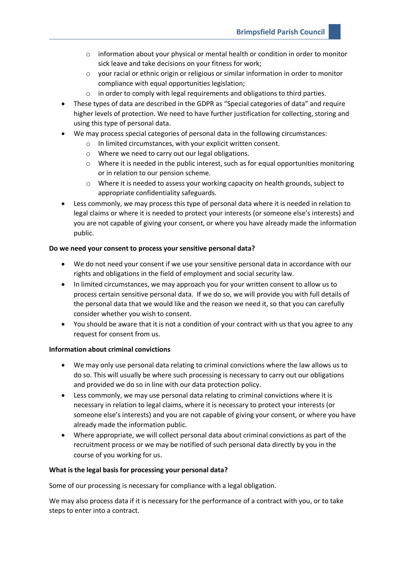- o information about your physical or mental health or condition in order to monitor sick leave and take decisions on your fitness for work;
- $\circ$  your racial or ethnic origin or religious or similar information in order to monitor compliance with equal opportunities legislation;
- $\circ$  in order to comply with legal requirements and obligations to third parties.
- These types of data are described in the GDPR as "Special categories of data" and require higher levels of protection. We need to have further justification for collecting, storing and using this type of personal data.
- We may process special categories of personal data in the following circumstances:
	- o In limited circumstances, with your explicit written consent.
	- o Where we need to carry out our legal obligations.
	- $\circ$  Where it is needed in the public interest, such as for equal opportunities monitoring or in relation to our pension scheme.
	- $\circ$  Where it is needed to assess your working capacity on health grounds, subject to appropriate confidentiality safeguards.
- Less commonly, we may process this type of personal data where it is needed in relation to legal claims or where it is needed to protect your interests (or someone else's interests) and you are not capable of giving your consent, or where you have already made the information public.

## **Do we need your consent to process your sensitive personal data?**

- We do not need your consent if we use your sensitive personal data in accordance with our rights and obligations in the field of employment and social security law.
- In limited circumstances, we may approach you for your written consent to allow us to process certain sensitive personal data. If we do so, we will provide you with full details of the personal data that we would like and the reason we need it, so that you can carefully consider whether you wish to consent.
- You should be aware that it is not a condition of your contract with us that you agree to any request for consent from us.

#### **Information about criminal convictions**

- We may only use personal data relating to criminal convictions where the law allows us to do so. This will usually be where such processing is necessary to carry out our obligations and provided we do so in line with our data protection policy.
- Less commonly, we may use personal data relating to criminal convictions where it is necessary in relation to legal claims, where it is necessary to protect your interests (or someone else's interests) and you are not capable of giving your consent, or where you have already made the information public.
- Where appropriate, we will collect personal data about criminal convictions as part of the recruitment process or we may be notified of such personal data directly by you in the course of you working for us.

#### **What is the legal basis for processing your personal data?**

Some of our processing is necessary for compliance with a legal obligation.

We may also process data if it is necessary for the performance of a contract with you, or to take steps to enter into a contract.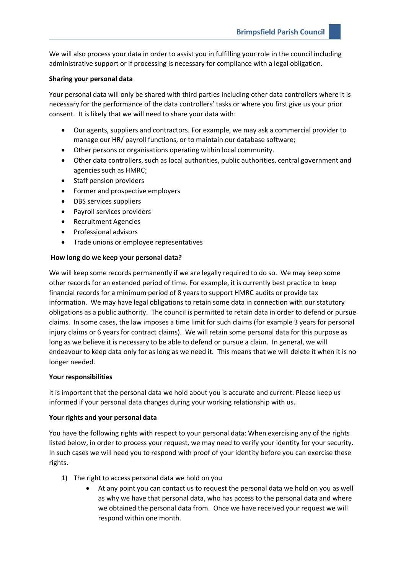We will also process your data in order to assist you in fulfilling your role in the council including administrative support or if processing is necessary for compliance with a legal obligation.

#### **Sharing your personal data**

Your personal data will only be shared with third parties including other data controllers where it is necessary for the performance of the data controllers' tasks or where you first give us your prior consent. It is likely that we will need to share your data with:

- Our agents, suppliers and contractors. For example, we may ask a commercial provider to manage our HR/ payroll functions, or to maintain our database software;
- Other persons or organisations operating within local community.
- Other data controllers, such as local authorities, public authorities, central government and agencies such as HMRC;
- Staff pension providers
- Former and prospective employers
- DBS services suppliers
- Payroll services providers
- Recruitment Agencies
- Professional advisors
- Trade unions or employee representatives

#### **How long do we keep your personal data?**

We will keep some records permanently if we are legally required to do so. We may keep some other records for an extended period of time. For example, it is currently best practice to keep financial records for a minimum period of 8 years to support HMRC audits or provide tax information. We may have legal obligations to retain some data in connection with our statutory obligations as a public authority. The council is permitted to retain data in order to defend or pursue claims. In some cases, the law imposes a time limit for such claims (for example 3 years for personal injury claims or 6 years for contract claims). We will retain some personal data for this purpose as long as we believe it is necessary to be able to defend or pursue a claim. In general, we will endeavour to keep data only for as long as we need it. This means that we will delete it when it is no longer needed.

## **Your responsibilities**

It is important that the personal data we hold about you is accurate and current. Please keep us informed if your personal data changes during your working relationship with us.

## **Your rights and your personal data**

You have the following rights with respect to your personal data: When exercising any of the rights listed below, in order to process your request, we may need to verify your identity for your security. In such cases we will need you to respond with proof of your identity before you can exercise these rights.

- 1) The right to access personal data we hold on you
	- At any point you can contact us to request the personal data we hold on you as well as why we have that personal data, who has access to the personal data and where we obtained the personal data from. Once we have received your request we will respond within one month.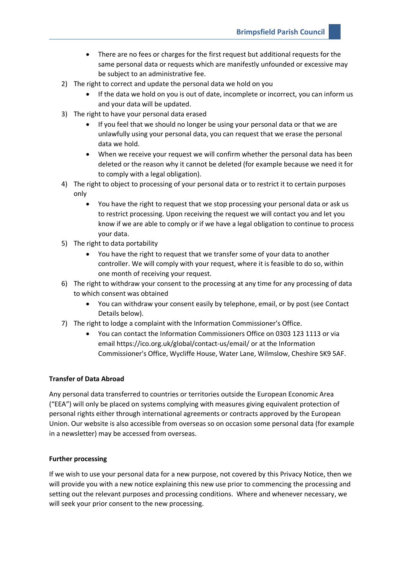- There are no fees or charges for the first request but additional requests for the same personal data or requests which are manifestly unfounded or excessive may be subject to an administrative fee.
- 2) The right to correct and update the personal data we hold on you
	- If the data we hold on you is out of date, incomplete or incorrect, you can inform us and your data will be updated.
- 3) The right to have your personal data erased
	- If you feel that we should no longer be using your personal data or that we are unlawfully using your personal data, you can request that we erase the personal data we hold.
	- When we receive your request we will confirm whether the personal data has been deleted or the reason why it cannot be deleted (for example because we need it for to comply with a legal obligation).
- 4) The right to object to processing of your personal data or to restrict it to certain purposes only
	- You have the right to request that we stop processing your personal data or ask us to restrict processing. Upon receiving the request we will contact you and let you know if we are able to comply or if we have a legal obligation to continue to process your data.
- 5) The right to data portability
	- You have the right to request that we transfer some of your data to another controller. We will comply with your request, where it is feasible to do so, within one month of receiving your request.
- 6) The right to withdraw your consent to the processing at any time for any processing of data to which consent was obtained
	- You can withdraw your consent easily by telephone, email, or by post (see Contact Details below).
- 7) The right to lodge a complaint with the Information Commissioner's Office.
	- You can contact the Information Commissioners Office on 0303 123 1113 or via email https://ico.org.uk/global/contact-us/email/ or at the Information Commissioner's Office, Wycliffe House, Water Lane, Wilmslow, Cheshire SK9 5AF.

## **Transfer of Data Abroad**

Any personal data transferred to countries or territories outside the European Economic Area ("EEA") will only be placed on systems complying with measures giving equivalent protection of personal rights either through international agreements or contracts approved by the European Union. Our website is also accessible from overseas so on occasion some personal data (for example in a newsletter) may be accessed from overseas.

## **Further processing**

If we wish to use your personal data for a new purpose, not covered by this Privacy Notice, then we will provide you with a new notice explaining this new use prior to commencing the processing and setting out the relevant purposes and processing conditions. Where and whenever necessary, we will seek your prior consent to the new processing.